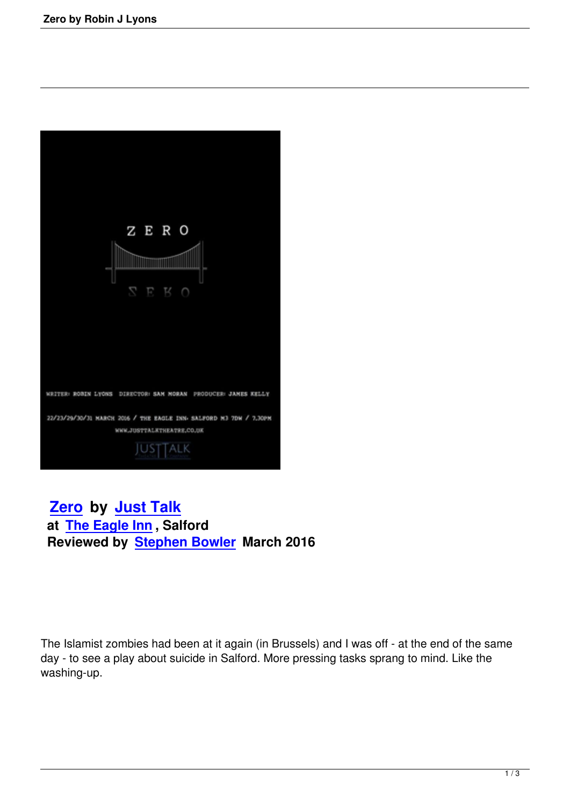

 **Zero by Just Talk at The Eagle Inn , Salford [Review](zero-by-robin-j-lyons.html)ed [by Stephen](http://www.justtalktheatre.co.uk/) Bowler March 2016**

The Islamist zombies had been at it again (in Brussels) and I was off - at the end of the same day - to see a play about suicide in Salford. More pressing tasks sprang to mind. Like the washing-up.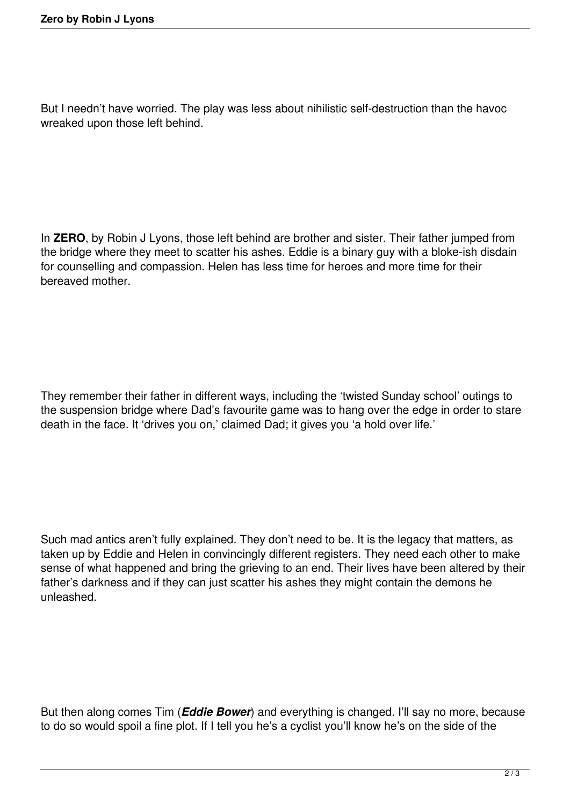But I needn't have worried. The play was less about nihilistic self-destruction than the havoc wreaked upon those left behind.

In **ZERO**, by Robin J Lyons, those left behind are brother and sister. Their father jumped from the bridge where they meet to scatter his ashes. Eddie is a binary guy with a bloke-ish disdain for counselling and compassion. Helen has less time for heroes and more time for their bereaved mother.

They remember their father in different ways, including the 'twisted Sunday school' outings to the suspension bridge where Dad's favourite game was to hang over the edge in order to stare death in the face. It 'drives you on,' claimed Dad; it gives you 'a hold over life.'

Such mad antics aren't fully explained. They don't need to be. It is the legacy that matters, as taken up by Eddie and Helen in convincingly different registers. They need each other to make sense of what happened and bring the grieving to an end. Their lives have been altered by their father's darkness and if they can just scatter his ashes they might contain the demons he unleashed.

But then along comes Tim (*Eddie Bower*) and everything is changed. I'll say no more, because to do so would spoil a fine plot. If I tell you he's a cyclist you'll know he's on the side of the